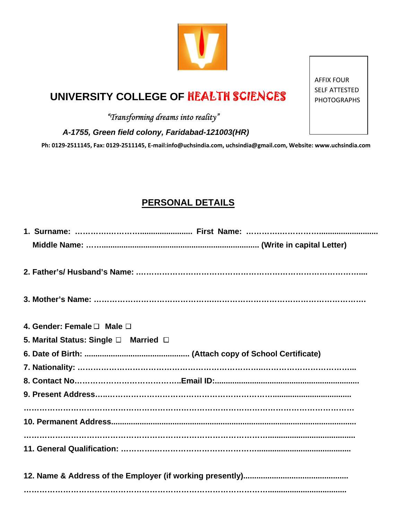## **UNIVERSITY COLLEGE OF HEALTH SCIENCES**

## *"Transforming dreams into reality"*

 *A-1755, Green field colony, Faridabad-121003(HR)* 

Ph: 0129-2511145, Fax: 0129-2511145, E-mail:info@uchsindia.com, uchsindia@gmail.com, Website: www.uchsindia.com

## **PERSONAL DETAILS**

| 4. Gender: Female $\Box$ Male $\Box$  |  |  |
|---------------------------------------|--|--|
| 5. Marital Status: Single □ Married □ |  |  |
|                                       |  |  |
|                                       |  |  |
|                                       |  |  |
|                                       |  |  |
|                                       |  |  |
|                                       |  |  |
|                                       |  |  |
|                                       |  |  |

AFFIX FOUR SELF ATTESTED PHOTOGRAPHS